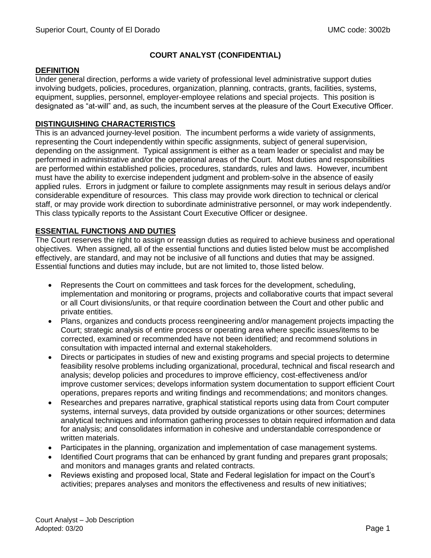# **COURT ANALYST (CONFIDENTIAL)**

### **DEFINITION**

Under general direction, performs a wide variety of professional level administrative support duties involving budgets, policies, procedures, organization, planning, contracts, grants, facilities, systems, equipment, supplies, personnel, employer-employee relations and special projects. This position is designated as "at-will" and, as such, the incumbent serves at the pleasure of the Court Executive Officer.

## **DISTINGUISHING CHARACTERISTICS**

This is an advanced journey-level position. The incumbent performs a wide variety of assignments, representing the Court independently within specific assignments, subject of general supervision, depending on the assignment. Typical assignment is either as a team leader or specialist and may be performed in administrative and/or the operational areas of the Court. Most duties and responsibilities are performed within established policies, procedures, standards, rules and laws. However, incumbent must have the ability to exercise independent judgment and problem-solve in the absence of easily applied rules. Errors in judgment or failure to complete assignments may result in serious delays and/or considerable expenditure of resources. This class may provide work direction to technical or clerical staff, or may provide work direction to subordinate administrative personnel, or may work independently. This class typically reports to the Assistant Court Executive Officer or designee.

### **ESSENTIAL FUNCTIONS AND DUTIES**

The Court reserves the right to assign or reassign duties as required to achieve business and operational objectives. When assigned, all of the essential functions and duties listed below must be accomplished effectively, are standard, and may not be inclusive of all functions and duties that may be assigned. Essential functions and duties may include, but are not limited to, those listed below.

- Represents the Court on committees and task forces for the development, scheduling, implementation and monitoring or programs, projects and collaborative courts that impact several or all Court divisions/units, or that require coordination between the Court and other public and private entities.
- Plans, organizes and conducts process reengineering and/or management projects impacting the Court; strategic analysis of entire process or operating area where specific issues/items to be corrected, examined or recommended have not been identified; and recommend solutions in consultation with impacted internal and external stakeholders.
- Directs or participates in studies of new and existing programs and special projects to determine feasibility resolve problems including organizational, procedural, technical and fiscal research and analysis; develop policies and procedures to improve efficiency, cost-effectiveness and/or improve customer services; develops information system documentation to support efficient Court operations, prepares reports and writing findings and recommendations; and monitors changes.
- Researches and prepares narrative, graphical statistical reports using data from Court computer systems, internal surveys, data provided by outside organizations or other sources; determines analytical techniques and information gathering processes to obtain required information and data for analysis; and consolidates information in cohesive and understandable correspondence or written materials.
- Participates in the planning, organization and implementation of case management systems.
- Identified Court programs that can be enhanced by grant funding and prepares grant proposals; and monitors and manages grants and related contracts.
- Reviews existing and proposed local, State and Federal legislation for impact on the Court's activities; prepares analyses and monitors the effectiveness and results of new initiatives;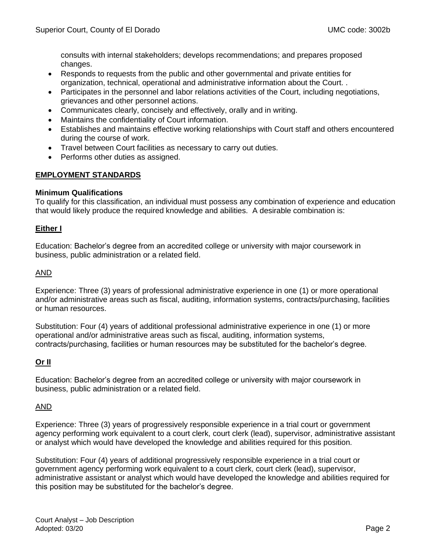consults with internal stakeholders; develops recommendations; and prepares proposed changes.

- Responds to requests from the public and other governmental and private entities for organization, technical, operational and administrative information about the Court. .
- Participates in the personnel and labor relations activities of the Court, including negotiations, grievances and other personnel actions.
- Communicates clearly, concisely and effectively, orally and in writing.
- Maintains the confidentiality of Court information.
- Establishes and maintains effective working relationships with Court staff and others encountered during the course of work.
- Travel between Court facilities as necessary to carry out duties.
- Performs other duties as assigned.

### **EMPLOYMENT STANDARDS**

### **Minimum Qualifications**

To qualify for this classification, an individual must possess any combination of experience and education that would likely produce the required knowledge and abilities. A desirable combination is:

### **Either I**

Education: Bachelor's degree from an accredited college or university with major coursework in business, public administration or a related field.

### AND

Experience: Three (3) years of professional administrative experience in one (1) or more operational and/or administrative areas such as fiscal, auditing, information systems, contracts/purchasing, facilities or human resources.

Substitution: Four (4) years of additional professional administrative experience in one (1) or more operational and/or administrative areas such as fiscal, auditing, information systems, contracts/purchasing, facilities or human resources may be substituted for the bachelor's degree.

# **Or II**

Education: Bachelor's degree from an accredited college or university with major coursework in business, public administration or a related field.

### AND

Experience: Three (3) years of progressively responsible experience in a trial court or government agency performing work equivalent to a court clerk, court clerk (lead), supervisor, administrative assistant or analyst which would have developed the knowledge and abilities required for this position.

Substitution: Four (4) years of additional progressively responsible experience in a trial court or government agency performing work equivalent to a court clerk, court clerk (lead), supervisor, administrative assistant or analyst which would have developed the knowledge and abilities required for this position may be substituted for the bachelor's degree.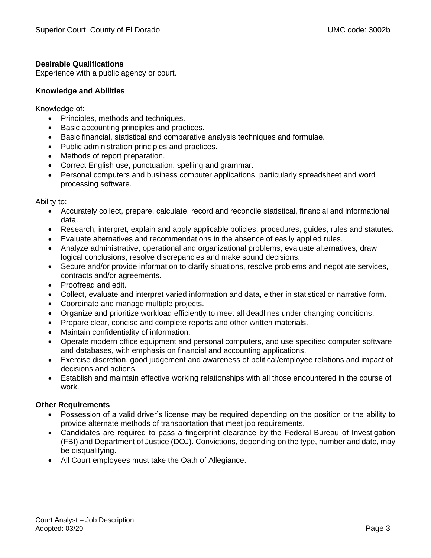## **Desirable Qualifications**

Experience with a public agency or court.

### **Knowledge and Abilities**

Knowledge of:

- Principles, methods and techniques.
- Basic accounting principles and practices.
- Basic financial, statistical and comparative analysis techniques and formulae.
- Public administration principles and practices.
- Methods of report preparation.
- Correct English use, punctuation, spelling and grammar.
- Personal computers and business computer applications, particularly spreadsheet and word processing software.

Ability to:

- Accurately collect, prepare, calculate, record and reconcile statistical, financial and informational data.
- Research, interpret, explain and apply applicable policies, procedures, guides, rules and statutes.
- Evaluate alternatives and recommendations in the absence of easily applied rules.
- Analyze administrative, operational and organizational problems, evaluate alternatives, draw logical conclusions, resolve discrepancies and make sound decisions.
- Secure and/or provide information to clarify situations, resolve problems and negotiate services, contracts and/or agreements.
- Proofread and edit.
- Collect, evaluate and interpret varied information and data, either in statistical or narrative form.
- Coordinate and manage multiple projects.
- Organize and prioritize workload efficiently to meet all deadlines under changing conditions.
- Prepare clear, concise and complete reports and other written materials.
- Maintain confidentiality of information.
- Operate modern office equipment and personal computers, and use specified computer software and databases, with emphasis on financial and accounting applications.
- Exercise discretion, good judgement and awareness of political/employee relations and impact of decisions and actions.
- Establish and maintain effective working relationships with all those encountered in the course of work.

# **Other Requirements**

- Possession of a valid driver's license may be required depending on the position or the ability to provide alternate methods of transportation that meet job requirements.
- Candidates are required to pass a fingerprint clearance by the Federal Bureau of Investigation (FBI) and Department of Justice (DOJ). Convictions, depending on the type, number and date, may be disqualifying.
- All Court employees must take the Oath of Allegiance.